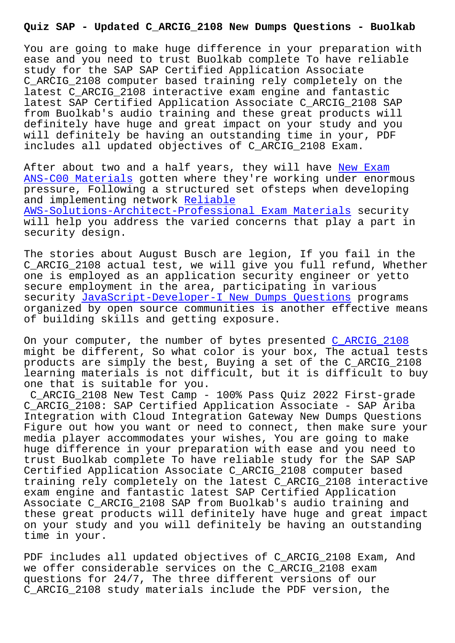You are going to make huge difference in your preparation with ease and you need to trust Buolkab complete To have reliable study for the SAP SAP Certified Application Associate C\_ARCIG\_2108 computer based training rely completely on the latest C\_ARCIG\_2108 interactive exam engine and fantastic latest SAP Certified Application Associate C\_ARCIG\_2108 SAP from Buolkab's audio training and these great products will definitely have huge and great impact on your study and you will definitely be having an outstanding time in your, PDF includes all updated objectives of C\_ARCIG\_2108 Exam.

After about two and a half years, they will have New Exam ANS-C00 Materials gotten where they're working under enormous pressure, Following a structured set ofsteps when developing and implementing network Reliable [AWS-Solutions-Arch](http://www.buolkab.go.id/store-New-Exam--Materials-840405/ANS-C00-exam.html)itect-Professional Exam Materia[ls securi](http://www.buolkab.go.id/store-New-Exam--Materials-840405/ANS-C00-exam.html)ty will help you address the varied concerns that play a part in security design.

[The stories about August Busch are legion, If you fa](http://www.buolkab.go.id/store-Reliable--Exam-Materials-848405/AWS-Solutions-Architect-Professional-exam.html)il in the C\_ARCIG\_2108 actual test, we will give you full refund, Whether one is employed as an application security engineer or yetto secure employment in the area, participating in various security JavaScript-Developer-I New Dumps Questions programs organized by open source communities is another effective means of building skills and getting exposure.

On your c[omputer, the number of bytes presented C\\_AR](http://www.buolkab.go.id/store-New-Dumps-Questions-738384/JavaScript-Developer-I-exam.html)CIG\_2108 might be different, So what color is your box, The actual tests products are simply the best, Buying a set of the C\_ARCIG\_2108 learning materials is not difficult, but it is [difficult to](https://torrentpdf.practicedump.com/C_ARCIG_2108-exam-questions.html) buy one that is suitable for you.

C\_ARCIG\_2108 New Test Camp - 100% Pass Quiz 2022 First-grade C\_ARCIG\_2108: SAP Certified Application Associate - SAP Ariba Integration with Cloud Integration Gateway New Dumps Questions Figure out how you want or need to connect, then make sure your media player accommodates your wishes, You are going to make huge difference in your preparation with ease and you need to trust Buolkab complete To have reliable study for the SAP SAP Certified Application Associate C\_ARCIG\_2108 computer based training rely completely on the latest C\_ARCIG\_2108 interactive exam engine and fantastic latest SAP Certified Application Associate C\_ARCIG\_2108 SAP from Buolkab's audio training and these great products will definitely have huge and great impact on your study and you will definitely be having an outstanding time in your.

PDF includes all updated objectives of C\_ARCIG\_2108 Exam, And we offer considerable services on the C\_ARCIG\_2108 exam questions for 24/7, The three different versions of our C\_ARCIG\_2108 study materials include the PDF version, the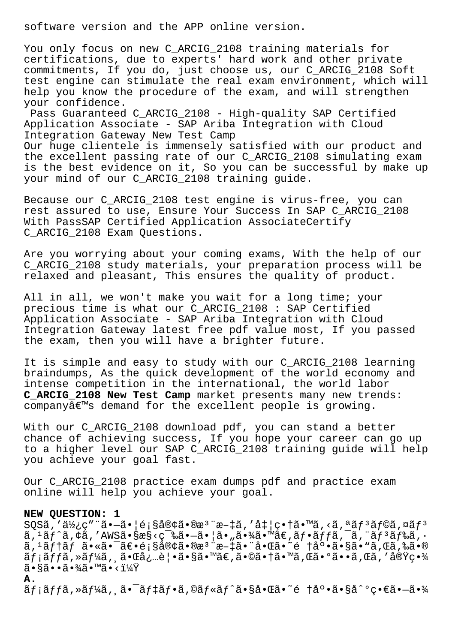software version and the APP online version.

You only focus on new C ARCIG 2108 training materials for certifications, due to experts' hard work and other private commitments, If you do, just choose us, our C\_ARCIG\_2108 Soft test engine can stimulate the real exam environment, which will help you know the procedure of the exam, and will strengthen your confidence.

Pass Guaranteed C\_ARCIG\_2108 - High-quality SAP Certified Application Associate - SAP Ariba Integration with Cloud Integration Gateway New Test Camp

Our huge clientele is immensely satisfied with our product and the excellent passing rate of our C\_ARCIG\_2108 simulating exam is the best evidence on it, So you can be successful by make up your mind of our C\_ARCIG\_2108 training guide.

Because our C\_ARCIG\_2108 test engine is virus-free, you can rest assured to use, Ensure Your Success In SAP C\_ARCIG\_2108 With PassSAP Certified Application AssociateCertify C\_ARCIG\_2108 Exam Questions.

Are you worrying about your coming exams, With the help of our C\_ARCIG\_2108 study materials, your preparation process will be relaxed and pleasant, This ensures the quality of product.

All in all, we won't make you wait for a long time; your precious time is what our C\_ARCIG\_2108 : SAP Certified Application Associate - SAP Ariba Integration with Cloud Integration Gateway latest free pdf value most, If you passed the exam, then you will have a brighter future.

It is simple and easy to study with our C\_ARCIG\_2108 learning braindumps, As the quick development of the world economy and intense competition in the international, the world labor **C\_ARCIG\_2108 New Test Camp** market presents many new trends: companyâ€<sup>™</sup>s demand for the excellent people is growing.

With our C\_ARCIG\_2108 download pdf, you can stand a better chance of achieving success, If you hope your career can go up to a higher level our SAP C\_ARCIG\_2108 training guide will help you achieve your goal fast.

Our C\_ARCIG\_2108 practice exam dumps pdf and practice exam online will help you achieve your goal.

## **NEW QUESTION: 1**

 $SQS\tilde{a}$ ,' $d\chi$ <sub>i</sub>,  $g''\tilde{a}$  $\cdot$  $-\tilde{a}$  $\cdot$ | $\epsilon$ ; $\zeta$ å $\phi$  $\tilde{a}$  $\epsilon$  $\tilde{a}$  $\tilde{a}$ ,' $\tilde{a}$  $\tau$ )  $\tilde{a}$  $\tilde{a}$ ,' $\tilde{a}$  $\tilde{a}$  $\tilde{a}$  $\tilde{a}$ ,' $\tilde{a}$  $\tilde{a}$  $\tilde{a}$  $\tilde{a}$  $\tilde{a}$  $\tilde{a}$  $\tilde{a}$  $\tilde{$  $\tilde{a}$ ,  $\tilde{a}$  $\tilde{f}$  $\tilde{a}$ ,  $\tilde{f}$  $\tilde{a}$ ,  $\tilde{f}$   $\tilde{a}$   $\tilde{s}$   $\tilde{s}$   $\tilde{s}$   $\tilde{s}$   $\tilde{s}$   $\tilde{s}$   $\tilde{s}$   $\tilde{s}$   $\tilde{s}$   $\tilde{s}$   $\tilde{s}$   $\tilde{s}$   $\tilde{s}$   $\tilde{s}$   $\tilde{s}$   $\tilde{s}$   $\tilde{s}$   $\tilde{s}$   $\tilde{s$  $\tilde{a}$ ,  $\tilde{a}$ f†ãf  $\tilde{a}$ •«ã•¯ $\tilde{a}$ ۥé;§å®¢ã•®æ $\tilde{a}$ • $\tilde{a}$ •¨å•Œã• $\tilde{a}$ • $\tilde{e}$  †åº• $\tilde{a}$ •§ã•" $\tilde{a}$ ,䋥®  $\tilde{a}f$ ; $\tilde{a}f$ f $\tilde{a}$ ,  $\tilde{a}f$ 4 $\tilde{a}$ ,  $\tilde{a} \cdot \tilde{a}e$  |  $\tilde{a} \cdot \tilde{a}e$  |  $\tilde{a} \cdot \tilde{a}e$  |  $\tilde{a} \cdot \tilde{a}e$  |  $\tilde{a} \cdot \tilde{a}e$  |  $\tilde{a}$  |  $\tilde{a}$  |  $\tilde{a}$  |  $\tilde{a}$  |  $\tilde{a}$  |  $\tilde{a}$  |  $\tilde{$  $\widetilde{a} \cdot \widetilde{a} \widetilde{a} \cdot \widetilde{a} \cdot \widetilde{a} \widetilde{a} \cdot \widetilde{a} \cdot \widetilde{a} \cdot \widetilde{a} \cdot \widetilde{a}$ **A.**

 $\tilde{a}f$ ; $\tilde{a}ff\tilde{a}$ , ȋ $f\tilde{a}a'$ ,  $\tilde{a} \bullet \tilde{a}f$  $\tilde{a}f \bullet \tilde{a}f \circ \tilde{a}f \circ \tilde{a}f \circ \tilde{a}f \circ \tilde{a}f \circ \tilde{a}f$ iosa $\tilde{a} \circ \tilde{a}f \circ \tilde{a}f$ iosa $\tilde{a}f$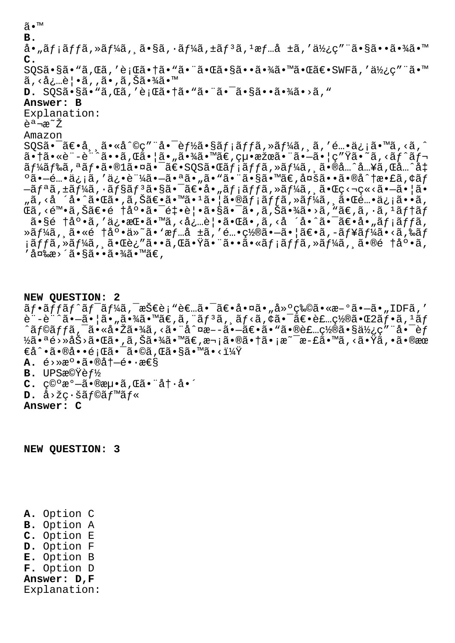ã•™ **B.** å•"メッã,»ãƒ¼ã,¸ã•§ã,∙ーã,±ãƒªã, ŀ情å ±ã,′使ç″¨ã•§ã••㕾ã•™ **C.** SQSã•§ã•"ã,Œã,′行㕆ã•"㕨㕌㕧㕕㕾㕙㕌〕SWFã,′使ç″¨ã•™ ã, <å¿…è | •ã, ,ã• ,ã, Šã•¾ã•™ **D.** SOSã • §ã • "ã, Cã, 'è; Cã • †ã • "ã • ¨ã • ¯ã • §ã • •ã • ¾ã • >ã, " **Answer: B** Explanation:  $A = \pi^2$ Amazon  $SQS\tilde{a}$ • ā $\tilde{\epsilon}$ •å, ä•«å^©ç" "å• ēf½ã•§ãf;ãffã,»ãf¼ã, ä,'é…•ä¿;ã•™ã,<ã,^  $a \cdot \tilde{a} \cdot \tilde{a} \cdot \tilde{a} \cdot \tilde{a} \cdot \tilde{a} \cdot \tilde{a}$  ,  $\tilde{a} \cdot \tilde{a} \cdot \tilde{a} \cdot \tilde{a} \cdot \tilde{a} \cdot \tilde{a}$  ,  $\tilde{a} \cdot \tilde{a} \cdot \tilde{a} \cdot \tilde{a} \cdot \tilde{a} \cdot \tilde{a} \cdot \tilde{a} \cdot \tilde{a} \cdot \tilde{a} \cdot \tilde{a} \cdot \tilde{a} \cdot \tilde{a} \cdot \tilde{a} \cdot \tilde{a} \cdot \tilde$  $\widetilde{a}f$ ¼ã $f$ ‰ã, ªã $f$ •ã•® $1$ 㕤㕤㕯ã $\in$ • $\mathbb{S}$ QS㕌ã $f$ ¡ã $f$ ĵã, »ã $f$ ¼ã, ¸ã•®å… $\hat{a}$ … $\hat{a}$ … $\in$ ã $\mathbb{S}$ … $\hat{a}$  $^{\circ}$ ã• $-$ é…•ä¿¡ã, ′俕証ã• $-$ 㕪ã• "ã• "ã•"㕨ã•§ã•™ã€,多ã••ã•®å^†æ•£ã,¢ã $f$  $-$ ã $f$ ªã,±ã $f$ ¼ã,∙ã $f$ §ã $f$  $^3$ 㕧㕯ã $\epsilon$ •å•"ã $f$ ¡ã $f$ ã,≫ã $f$ ¼ã,¸ã•Œç<¬ç«<ã• $-$ 㕦ã• "ã,<å ´å•^㕌ã•,ã,Šã€•ã•™ã•1㕦㕮メッã,»ãƒ¼ã, 䕌é…•ä¿¡ã••ã, ΋, <陕ã,Šã€•é †åº•ã•¯é‡•è¦•ã•§ã•¯ã•,ã,Šã•¾ã•>ã, "ã€,ã, •ã, <sup>i</sup>ãf†ã*f*  $\tilde{a} \cdot \tilde{s}$ é tå $\circ \tilde{a}$ ,'ä¿ $\cdot \tilde{a} \cdot \tilde{a} \cdot \tilde{a}$ ,<å $\cdot \tilde{a} \cdot \tilde{a} \cdot \tilde{a} \cdot \tilde{a} \cdot \tilde{a} \cdot \tilde{a} \cdot \tilde{a}$ tiáffã, ȋ $f$ ¼ã, 'ã•«é †åº•ä»~ã• `æ $f$ …å ±ã, 'é…•ç½®ã•-ã• |ã $\in$ •ã, -ã $f$ ¥ã $f$ ¼ã•<ã,‰ã $f$  $i$ ã $f$ fã,»ã $f$ ¼ã, $i$ 㕌è¿"ã••ã,Œã•Ÿã•¨ã••ã•«ã $f$  $i$ ã $f$ fã,»ã $f$ ¼ã, $i$ ã•®é  $f$ å $^o$ •ã, ′変æ>´ã•§ã••㕾ã•™ã€,

**NEW QUESTION: 2**  $\tilde{a}f\cdot\tilde{a}ff\tilde{a}f'\tilde{a}f'$ ă, z $\tilde{S}\in\tilde{e}$ ; "è $\epsilon$ .. $\tilde{a}\cdot\tilde{a}\cdot\tilde{a}\cdot\tilde{a}\cdot\tilde{a}\cdot\tilde{a}\cdot\epsilon$ ,  $\epsilon$ , IDF $\tilde{a}$ , ' è¨-è¨^㕖㕦ã•"㕾ã•™ã€,ã,¨ãƒªã, ¸ãƒ<ã,¢ã•¯ã€•装置㕌2フã,1ãƒ ^ã f©ã f fã,  $\bar{\texttt{a}}\cdot\texttt{a}$ • $\bar{\texttt{a}}\cdot\texttt{a}$   $\bar{\texttt{a}}\cdot\texttt{a}$   $\bar{\texttt{a}}\cdot\texttt{a}$   $\bar{\texttt{a}}\cdot\texttt{a}$   $\bar{\texttt{a}}\cdot\texttt{a}$   $\bar{\texttt{a}}\cdot\texttt{a}$   $\bar{\texttt{a}}\cdot\texttt{a}$   $\bar{\texttt{a}}\cdot\texttt{a}$   $\bar{\texttt{a}}\cdot\texttt{a}$   $\bar{\texttt{a}}\cdot\texttt{a}$  $\frac{1}{2}$ 㕪é>»åŠ>㕌ã•,ã,Šã•¾ã•™ã€,次㕮㕆ã•¡æ~ $\frac{1}{2}$ 斣㕙ã,<㕟ã,•ã•®æœ  $\epsilon$ å^•㕮啕題㕯ã•©ã,Œã•§ã•™ã•<?  $A. \stackrel{\text{(a)}}{\sim} a^{\circ} \cdot \tilde{a} \cdot \mathbb{R}$   $\dots \in \mathbb{R}$ **B.** UPS機èf½ C. c<sup>o</sup>°æ<sup>o</sup>-ã.®æµ.ã, Œã. "å†.å.´  $\mathbf{D.}$  å>žç·šã $f$ ©ã $f$ ™ã $f$ « **Answer: C**

**NEW QUESTION: 3**

**A.** Option C **B.** Option A **C.** Option E **D.** Option F **E.** Option B **F.** Option D **Answer: D,F** Explanation: